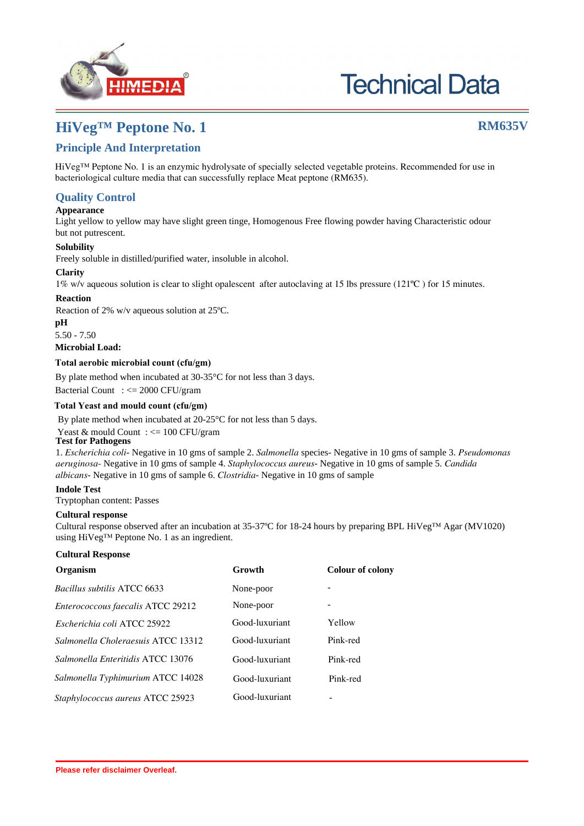

# **Technical Data**

# **HiVeg™ Peptone No. 1 RM635V**

## **Intended use**

HiVeg™ Peptone No. 1 is an enzymic hydrolysate of specially selected vegetable proteins. Recommended for use in bacteriological culture media that can successfully replace Meat peptone (RM635).

#### **Warning and Precautions**

Read the label before opening the container. Wear protective gloves/protective clothing/eye protection/ face protection. Follow good microbiological lab practices while handling specimens and culture. Safety guidelines may be referred in individual safety data sheets.

#### **Limitations**

1. It is biological origin product since variation in colour of powder and clarity may observed.

2. Each lot of the product has been tested for the organisms specified on the COA. It is recommended to users to validate the medium for any specific microorganism other than mentioned in the COA based on the user's requirement.

3. Individual organisms differ in their growth requirement and may show variable growth patterns on the medium prepared by the product.

### **Performance and Evaluation**

Performance of the product is expected when used as per the direction on the label within the expiry period when stored at recommended temperature.

### **Quality Control**

#### **Appearance**

Light yellow to yellow may have slight green tinge, Homogenous Free flowing powder having Characteristic odour but not putrescent.

#### **Solubility**

Freely soluble in distilled/purified water, insoluble in alcohol.

#### **Clarity**

1% w/v aqueous solution is clear to slight opalescent after autoclaving at 15 lbs pressure (121ºC ) for 15 minutes.

#### **Reaction**

Reaction of 2% w/v aqueous solution at 25ºC.

#### **pH**

5.50 - 7.50

**Microbial Load:**

#### **Total aerobic microbial count (cfu/gm)**

By plate method when incubated at 30-35°C for not less than 3 days.

Bacterial Count : <= 2000 CFU/gram

#### **Total Yeast and mould count (cfu/gm)**

By plate method when incubated at 20-25°C for not less than 5 days.

Yeast & mould Count :  $\leq$  100 CFU/gram

#### **Test for Pathogens**

1. *Escherichia coli*- Negative in 10 gms of sample 2. *Salmonella* species- Negative in 10 gms of sample 3. *Pseudomonas aeruginosa*- Negative in 10 gms of sample 4. *Staphylococcus aureus*- Negative in 10 gms of sample 5. *Candida albicans*-Negative in 10 gms of sample 6. *Clostridia*- Negative in 10 gms of sample

#### **Indole Test**

Tryptophan content: Passes